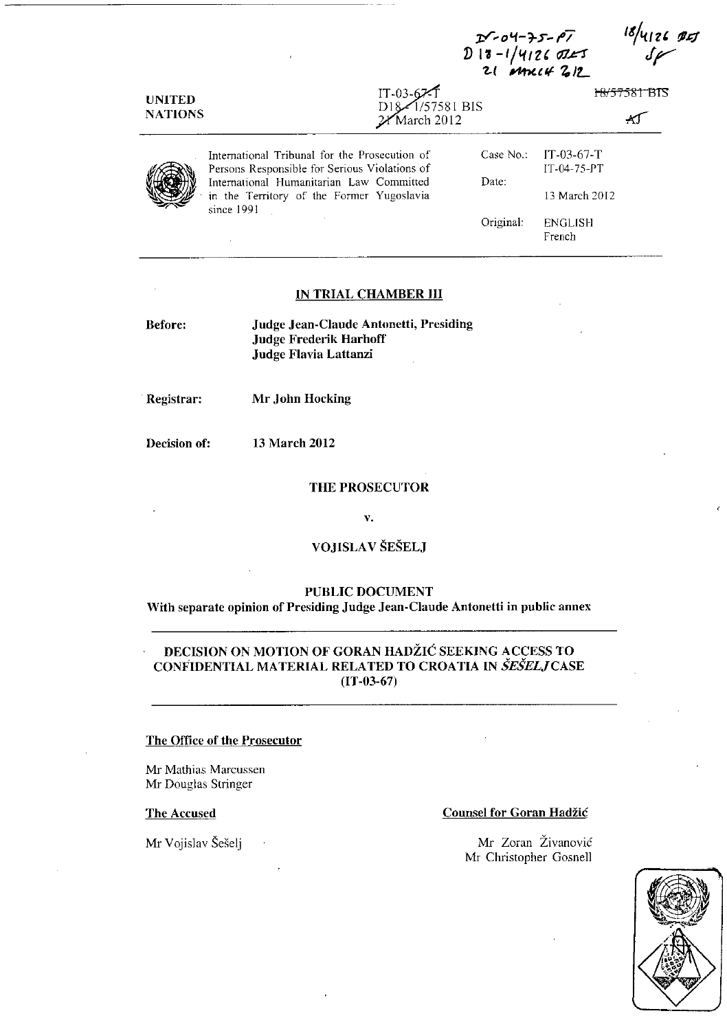pr=0-1-<del>7</del>5-11<br>D 18-1/4126 *01*25 *'2..1* wt>tl *tf* 'l" *IL* 

| <b>UNITED</b><br><b>NATIONS</b> | $IT-03-67$<br>D18 1/57581 BIS<br>March 2012                                                                                                                                                           |                                 |                                                                            |  |
|---------------------------------|-------------------------------------------------------------------------------------------------------------------------------------------------------------------------------------------------------|---------------------------------|----------------------------------------------------------------------------|--|
|                                 | International Tribunal for the Prosecution of<br>Persons Responsible for Serious Violations of<br>International Humanitarian Law Committed<br>in the Territory of the Former Yugoslavia<br>since 1991 | Case No.:<br>Date:<br>Original: | $IT-03-67$ T<br>$IT-04-75-PT$<br>13 March 2012<br><b>ENGLISH</b><br>French |  |

### IN TRIAL CHAMBER III

| Before: | Judge Jean-Claude Antonetti, Presiding |
|---------|----------------------------------------|
|         | Judge Frederik Harhoff                 |
|         | Judge Flavia Lattanzi                  |

Registrar: Mr John Hocking

Decision of: 13 March 2012

#### THE PROSECUTOR

 $\mathbf{v}_\star$ 

# VOJISLAV ŠEŠELJ

# PUBLIC DOCUMENT

With separate opinion of Presiding Judge Jean-Claude Antonetti in public annex

# DECISION ON MOTION OF GORAN HADŽIĆ SEEKING ACCESS TO CONFIDENTIAL MATERIAL RELATED TO CROATIA IN *ŠEŠELJCASE*  (IT-03-67)

# The Office of the Prosecutor

Mr Mathias Marcussen Mr Douglas Stringer

The Accused

Mr Vojislav Šešelj

# Counsel for Goran Hadžić

Mr Zoran Živanović Mr Christopher GosnelI

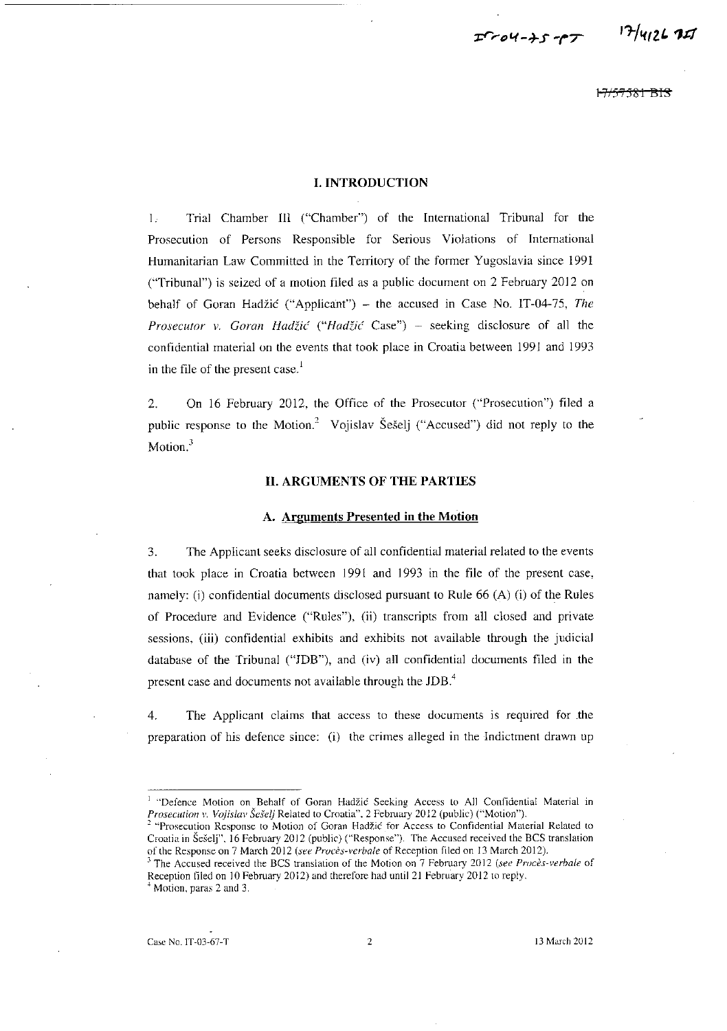$T$ ro4-75-07 17/4126 75

1<del>-7/57581 BIS</del>

#### **I. INTRODUCTION**

I, Trial Chamber III ("Chamber"') of the International Tribunal for the **Prosecution of Persons Responsible for Serious Violations of International**  Humanitarian Law Committed in the Territory of the former Yugoslavia since 1991 ("Tribunal") is seized of a motion filed as a public document on 2 February 2012 on behalf of Goran Hadžić ("Applicant") - the accused in Case No. *IT-04-7S, The Prosecutor v. Goran Hadžić* ("Hadžić Case") – seeking disclosure of all the confidential material on the events that took place in Croatia between 1991 and 1993 in the file of the present case l

2. On 16 February 2012, the Office of the Prosecutor ("Prosecution") filed a public response to the Motion.<sup>2</sup> Vojislav Šešelj ("Accused") did not reply to the **Motion. <sup>3</sup>**

#### **Il. ARGUMENTS OF THE PARTIES**

#### **A. Arguments Presented in the Motion**

3. The Applicant seeks disclosure of all confidential material related to the events that took place in Croatia between 1991 and 1993 in the file of the present case, namely: (i) confidential documents disclosed pursuant to Rule 66 (A) (i) of the Rules of Procedure and Evidence ("Rules"), (ii) transcripts from all closed and private sessions, (iii) confidential exhibits and exhibits not available through the judicial database of the Tribunal ("JDB"). and (iv) all confidential documents filed in the present case and documents not available through the JDB.<sup>4</sup>

4. The Applicant claims that access to these documents is required for .the preparation of his defence since: (i) the crimes alleged in the Indictment drawn up

<sup>&</sup>lt;sup>1</sup> "Defence Motion on Behalf of Goran Hadžić Seeking Access to All Confidential Material in *Prosecution v. Vojislav Scšel}* **Related to Croatia", 2 February 2012 (public) ("Motion").** 

<sup>~</sup>**"Prosecution Response to MOlion of Goran** Hadžić **for Access to Confidential Material Related la**  Croatia in Šešelj". 16 February 2012 (public) ("Response"). The Accused received the BCS translation **of the Response on 7 March 2012** *(see Proces-vcrbalc* **of Reception filed on 13 March 2012).** 

<sup>&</sup>lt;sup>3</sup> The Accused received the BCS translation of the Motion on 7 February 2012 *(see Proces-verbale* of **Reception filed on 10 February 2(12) and therefore had until 21 February 2012 to reply.** 

<sup>4</sup>**Motion. paras 2 and 3.**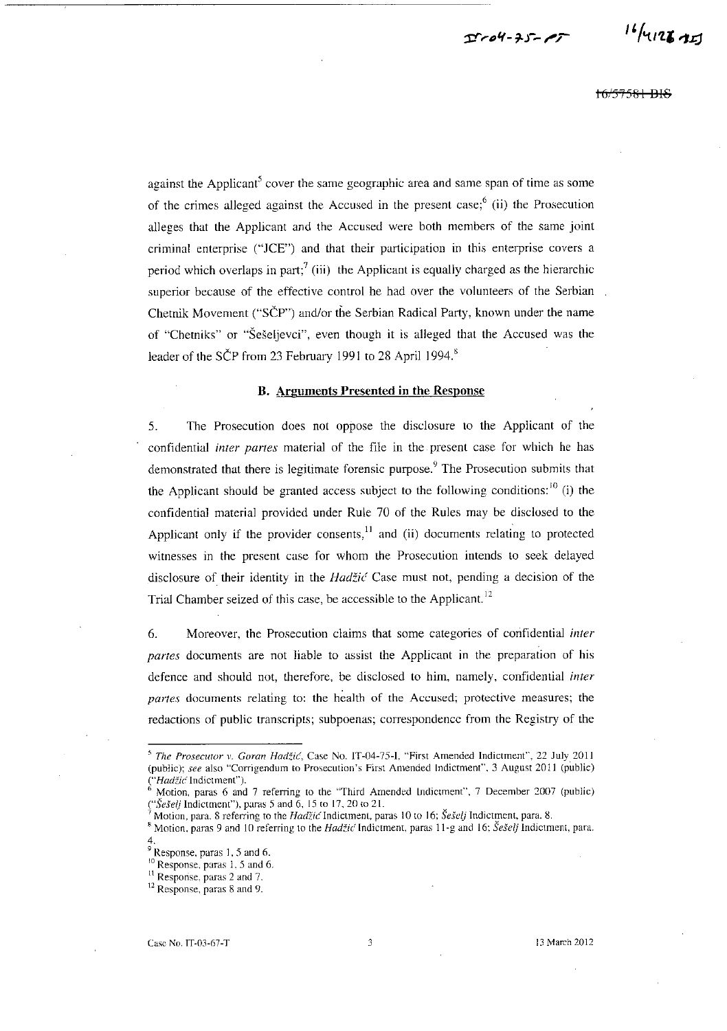$25 - 64 - 75 - 77$ 

16/57581 DIS

 $16/4126$   $45$ 

against the Applicant<sup>5</sup> cover the same geographic area and same span of time as some of the crimes alleged against the Accused in the present case; $6$  (ii) the Prosecution alleges that the Applicant and the Accused were both members of the same joint criminal enterprise ("lCE") and that their participation in this enterprise covers a period which overlaps in part;<sup>7</sup> (iii) the Applicant is equally charged as the hierarchic superior because of the effective control he had over the volunteers of the Serbian Chetnik Movement ("SČP") and/or the Serbian Radical Party, known under the name of "Chetniks" or "Šešeljevci" , even though it is alleged that the Accused was the leader of the SČP from 23 February 1991 to 28 April 1994.<sup>8</sup>

#### B, Arguments Presented in the Response

5, The Prosecution does not oppose the disclosure to the Applicant of the confidential *inter partes* material of the file in the present case for which he has demonstrated that there is legitimate forensic purpose.<sup>9</sup> The Prosecution submits that the Applicant should be granted access subject to the following conditions;  $^{10}$  (i) the confidential material provided under Rule 70 of the Rules may be disclosed to the Applicant only if the provider consents,<sup>11</sup> and (ii) documents relating to protected witnesses in the present case for whom the Prosecution intends to seek delayed disclosure of their identity in the Hadžić Case must not, pending a decision of the Trial Chamber seized of this case, be accessible to the Applicant.<sup>12</sup>

6. Moreover, the Prosecution claims that some categories of corifidential *inter partes* documents are not liable to assist the Applicant in the preparation of his defence and should not, therefore, be disclosed to him, namely, confidential *inter partes* documents relating to: the health of the Accused; protective measures; the redactions of public transcripts; subpoenas; correspondence from the Registry of the

<sup>&</sup>lt;sup>5</sup> The Prosecutor v. Goran Hadžić, Case No. IT-04-75-1, "First Amended Indictment", 22 July 2011 (public); *see* also "Corrigendum to Prosecution's First Amended Indictment". 3 August 2011 (public) ("Hadžić Indictment").

Motion, paras 6 and 7 referring to the "Third Amended Indictment", 7 December 2007 (public) *(".fidel)* Indictmem"), paras 5 and 6, l *S* to 17. 20 to 21.

<sup>7</sup> Motion, para. 8 referring to the Hadžić IndiclmenI, paras 10 to 16; *Šešelj* Indictment, para. 8.

<sup>&</sup>lt;sup>8</sup> Motion. paras 9 and 10 referring to the *Hadžić* Indictment, paras 11-g and 16; *Šešelj* Indictment, para. 4,

 $9$  Response, paras 1, 5 and 6.

<sup>&</sup>lt;sup>10</sup> Response, paras 1, 5 and 6.

<sup>&</sup>lt;sup>11</sup> Response, paras 2 and 7.

<sup>&</sup>lt;sup>12</sup> Response, paras 8 and 9.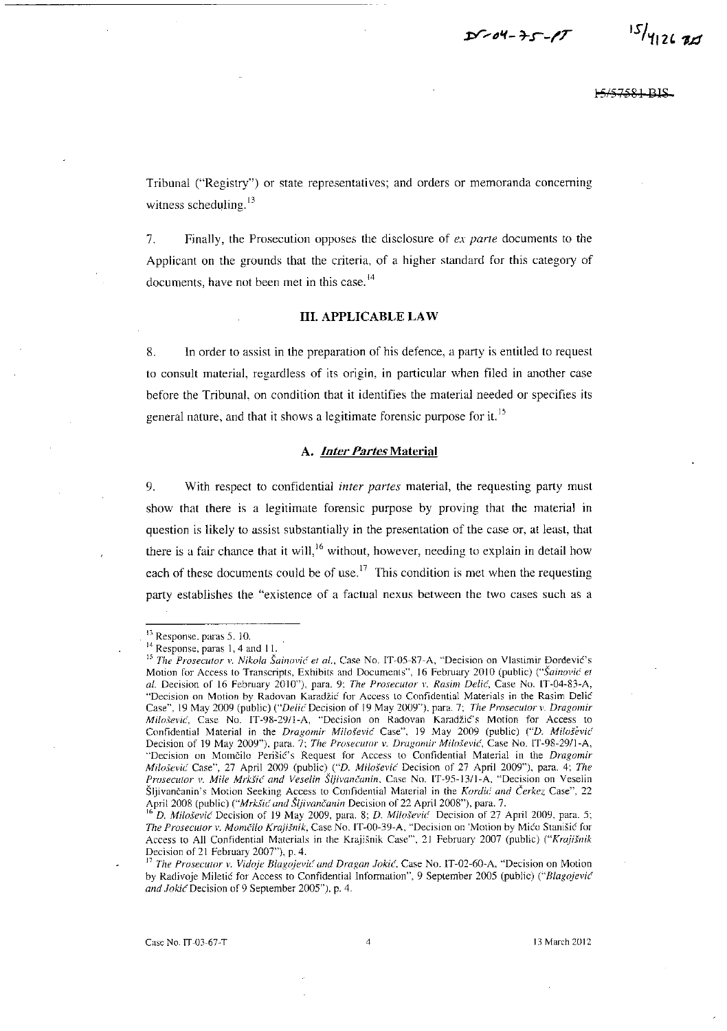$D' > 04 - 7 - 6$ 

1<del>5/57581 B</del>IS

 $15/4126$  as

Tribunal ("Registry") or state representatives; and orders or memoranda concerning witness scheduling. $^{13}$ 

7. Finally, the Prosecution opposes the disclosure of *ex parte* documents to the Applicant on the grounds that the criteria, of a higher standard for this category of documents, have not been met in this case.<sup>14</sup>

#### III. APPLICABLE LA W

8. ln order to assist in the preparation of his defence, a party is entitled to request to consult material, regardless of its origin, in particular when filed in another case before the Tribunal, on condition that it identifies the material needed or specifies its general nature, and that it shows a legitimate forensic purpose for it.<sup>15</sup>

#### A, *Inter Partes* Material

9. With respect to confidential *inter partes* material, the requesting party must show that there is a legitimate forensic purpose by proving that the material in question is likely to assist substantially in the presentation of the case or, at least, that there is a fair chance that it will,<sup>16</sup> without, however, needing to explain in detail how each of these documents could be of use.<sup>17</sup> This condition is met when the requesting party establishes the "existence of a factual nexus between the two cases such as a

Case No. IT-03-67-T 4 13 March 2012

 $<sup>13</sup>$  Response, paras 5, 10.</sup>

<sup>&</sup>lt;sup>14</sup> Response, paras 1, 4 and 11.

<sup>&</sup>lt;sup>15</sup> The Prosecutor v. Nikola Šainović et al., Case No. IT-05-87-A, "Decision on Vlastimir Đorđević's Motion for Access to Transcripts, Exhibits and Documents", 16 February 2010 (public) *("Šainović et al.* Decision of 16 February 2010"'). para. 9: *The Prosecutor v. Rasim* Delić, Case No. lT-04-83-A, "Decision on Motion by Radovan Karadžić for Access to Confidential Materials in the Rasim Delić Case". 19 May 2009 (public) ("Delic Decision of 19 May 2009"). para. 7; *The Prosecutor v. Dragomir* Milošević, Case No. IT-98-29/1-A, "Decision on Radovan Karadžić's Motion for Access to Confidential Material in the *Dragomir Milošević* Case", 19 May 2009 (public) ("D. Milošević Decision of 19 May 2009"), para. 7; *The Prosecutor v. Dragomir Milošević*, Case No. IT-98-29/1-A, "Decision on Momčilo Perišić's Request for Access to Confidential Material in the *Dragomir Milošević Case"*, 27 April 2009 (public) ("D. Milošević Decision of 27 April 2009"), para. 4; *The Prosecutor v. Mile Mrkšić and Veselin Šljivančanin*, Case No. IT-95-13/1-A, "Decision on Veselin Šljivančanin's Motion Seeking Access to Confidential Material in the *Kordid and* Čerkez Case", 22 April 2008 (public) *("Mrkšić and Šljivančanin Decision of 22 April 2008")*, para. 7.

<sup>&</sup>lt;sup>16</sup> D. Milošević Decision of 19 May 2009, para. 8; D. Milošević Decision of 27 April 2009, para. 5; *The Prosecutor v.* Momčilo *Krajišnik,* Case No. IT-00-39-A "Decision on 'Motion by Mićo Stanišić for Access to All Confidential Materials in the Krajišnik Case"', 21 February 2007 (public) *("Krajišnik* Decision of 21 February 2007"), p. 4.

<sup>&</sup>lt;sup>17</sup> The Prosecutor v. Vidoje Blagojević and Dragan Jokić, Case No. IT-02-60-A, "Decision on Motion by Radivoje Miletić for Access to Confidential Information", 9 September 2005 (public) ("Blagojević and *Jokić* Decision of 9 September 2005"), p. 4.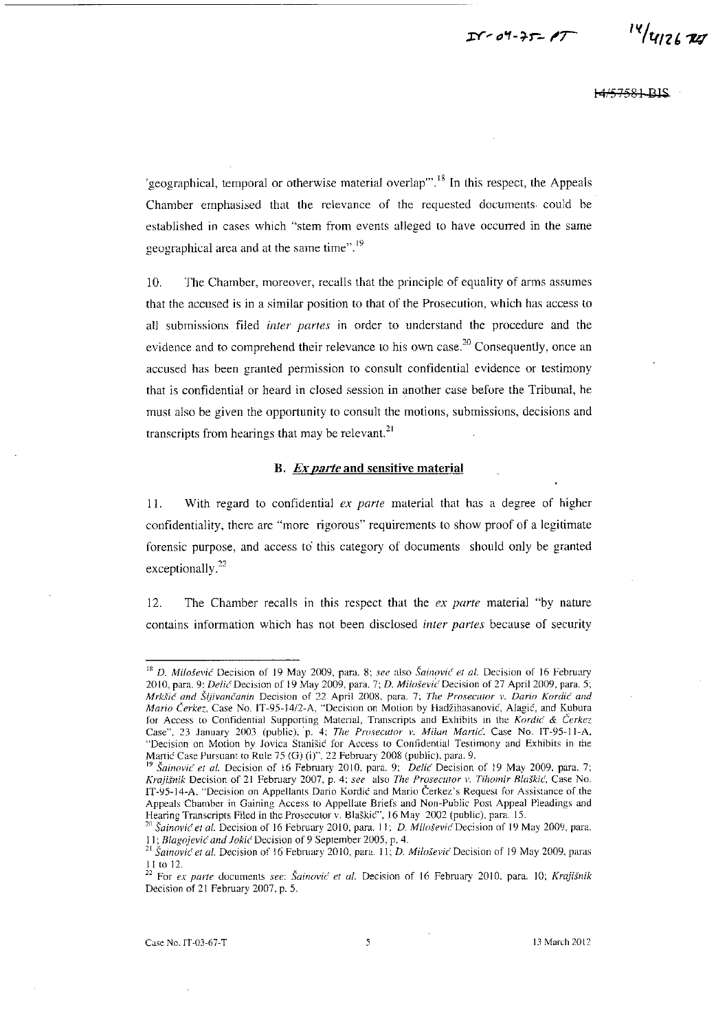$25 - 04 - 25 - 17$ 

14<del>/57581</del>-BIS

 $14/4126$  74

 $e^{\frac{i}{2}}$  geographical, temporal or otherwise material overlap<sup> $\ddot{a}$ </sup>.<sup>18</sup> In this respect, the Appeals Chamber emphasised that the relevance of the requested documents could be established in cases which "stem from events alleged to have occurred in the same geographical area and at the same time".<sup>19</sup>

10. The Chamber, moreover, recalls that the principle of equality of arms assumes that the accused is in a similar position to that of the Prosecution, which has access to all submissions filed *inter partes* in order to understand the procedure and the evidence and to comprehend their relevance to his own case.<sup>20</sup> Consequently, once an accused has been granted permission to consult confidential evidence or testimony that is confidential or heard in closed session in another case before the Tribunal, he must also be given the opportunity to consult the motions, submissions, decisions and transcripts from hearings that may be relevant. $^{21}$ 

#### B. *Ex parte* and sensitive material

ll. With regard to confidential *ex parte* material that has a degree of higher confidentiality, there are "more rigorous" requirements to show proof of a legitimate forensic purpose, and access to' this category of documents should only be granted  $exceptionally.<sup>22</sup>$ 

12. The Chamber recalls in this respect that the *ex parte* material "by nature contains information which has not been disclosed *inter partes* because of security

<sup>&</sup>lt;sup>18</sup> D. Milošević Decision of 19 May 2009, para. 8; see also Šainović et al. Decision of 16 February 2010, para. 9; *Delić* Decision of 19 May 2009, para. 7; *D. Milošević* Decision of 27 April 2009, para. 5; Mrkšić and Šljivančanin Decision of 22 April 2008, para. 7; *The Prosecutor v. Dario Kordić and Mario* Čerkez, Case No. IT -95-J 4/2-A, "Decision on MOLian by Hadžihasanović, Alagić, and Kubura for Access to Confidential Supporting Material, Transcripts and Exhibits in the Kordić & Čerkez Case", 23 January 2003 (public), 'p. 4; *The Prosecutor* t·. *Milun* Martić. Case No. IT-9S-II-A, "Decision on Motion by Jovica Stanišić for Access 10 Confidential Testimony and Exhibits in the Martić Case Pursuant to Rule 75 (G) (i)", 22 February 2008 (public), para. 9.

<sup>&</sup>lt;sup>19</sup> Šainović et al. Decision of 16 February 2010, para. 9; *Delić* Decision of 19 May 2009, para. 7; *Krajišnik* Decision of 21 February 2007, p. 4; *see* also *The Prosecutor v. Tihomir Blaškid,* Case No. lT-95-l4-A. "Decision on Appellants Dario Kordić and Mario Čerkez's Request for Assistance of.the Appeals Chamber in Gaining Access to Appellate Briefs and Non-Public Post Appeal Pleadings and Hearing Transcripts Filed in the Prosecutor v. Blaškić'", 16 May 2002 (public). para. 15.

<sup>211</sup>*Šainovid el* al. Decision of 16 february 2010, para. ll; D. *Miloševic:Decision* of 19 May 2009. para. ll: Blagojević *and* Jokić Decision of 9 September 2005, p. 4.

<sup>&</sup>lt;sup>21</sup> Šainović et al. Decision of 16 February 2010, para. 11, *D. Milošević* Decision of 19 May 2009, paras II to 12.

<sup>&</sup>lt;sup>22</sup> For *ex parte* documents *see: Šainović et al.* Decision of 16 February 2010. para. 10; *Krajišnik* Decision of 21 February 2007, p. *S.*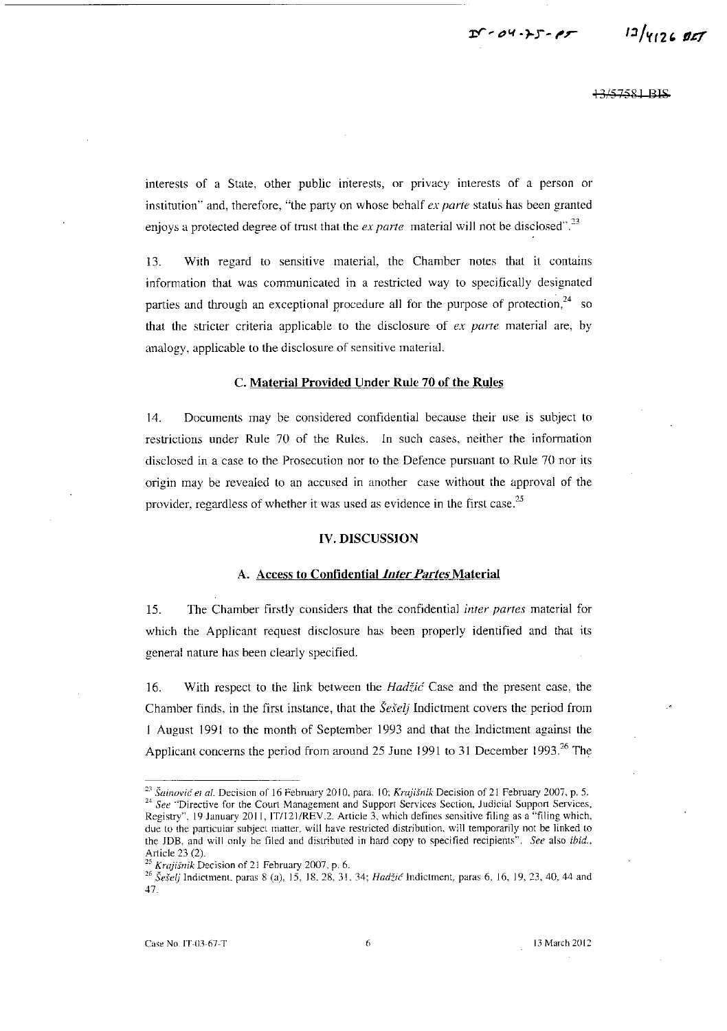13/57581 BIS

interests of a State, other public iriterests, or privacy interests of a person or institution" and, therefore, "the party on whose hehalf *ex parte* status has been granted enjoys a protected degree of trust that the *ex parte* material will not be disclosed".<sup>23</sup>

13. With regard to sensitive material, the Chamber notes that it contains information that was communicated in a restricted way to specifically designated parties and through an exceptional procedure all for the purpose of protection,  $24$  so that the stricter criteria applicable to the disclosure of *ex parte* material are, by analogy, applicable to the disclosure of sensitive material.

#### C. Material Provided Under Rule 70 of the Rules

14. Documents may be considered confidential because their use is subject to restrictions under Rule 70 of the Rules. ln such cases, neither the information disclosed in a case to the Prosecution nor to the Defence pursuant to Rule 70 nor its origin may be revealed to an accused in another case without the approval of the provider, regardless of whether it was used as evidence in the first case.<sup>25</sup>

#### IV. DISCUSSION

### A. Access to Confidential *Inter Partes* Material

15. The Chamber firstly considers that the confidential *inter partes* material for which the Applicant request disclosure has been properly identified and that its general nature has been clearly specified.

16. With respect to the link between the Hadžić Case and the present case, the Chamber finds, in the first instance, that the *Šešelj* Indictment covers the period from I August 1991 to the month of September 1993 and that the Indictment against the Applicant concerns the period from around 25 June 1991 to 31 December 1993.<sup>26</sup> The

<sup>&</sup>lt;sup>23</sup> Šainović et al. Decision of 16 February 2010, para. 10; *Krajišnik Decision of 21 February 2007*, p. 5. *2+ See* "Directive for the Court Management and Support Services Section, Judicial Support Services, Registry". 19 January 2011, IT/121/REV.2. Article 3, which defines sensitive filing as a "filing which, due to the panicular subject matter, will have restricted distribution, will temporarily not be linked to the JDB, and will only be filed and distributed in hard copy to specified recipients". *See* also *ibid ..*  Article 23 (2).

*Krajišnik Decision of 21 February 2007, p. 6.* 

<sup>&</sup>lt;sup>26</sup> Šešelj Indictment, paras 8 (a), 15, 18, 28, 31, 34; *Hadžić* Indictment, paras 6, 16, 19, 23, 40, 44 and 47.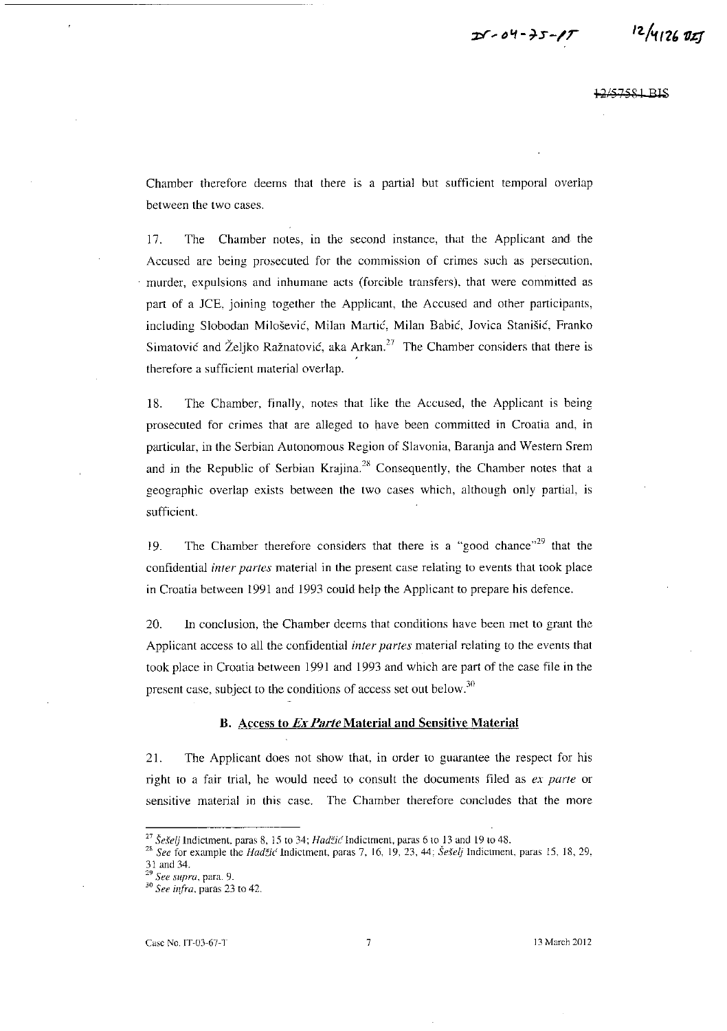157581 EIS

Chamber therefore deems that there is a partial but sufficient temporal overlap between the two cases.

17. The Chamber notes, in the second instance, that the Applicant and the Accused are being prosecuted for the commission of crimes such as persecution, murder, expulslons and inhumane acts (forcible transfers), that were committed as part of a JCE, joining together the Applicant, the Accused and other participants, including Slobodan Milošević, Milan Martić, Milan Babić, Jovica Stanišić, Franko Simatović and Željko Ražnatović, aka Arkan.<sup>27</sup> The Chamber considers that there is therefore a sufficient material overlap.

18, The Chamber, finally, notes that like the Accused, the Applicant is being prosecuted for crimes that are alleged to have been committed in Croatia and, in particular, in the Serbian Autonomous Region of Slavonia, Baranja and Western Srem and in the Republic of Serbian Krajina. $^{28}$  Consequently, the Chamber notes that a geographic overlap exists between the two cases which, although only partial, is sufficient.

19. The Chamber therefore considers that there is a "good chance"<sup>29</sup> that the confidential *inter partes* material in the present case relating to events that took place in Croatia between 1991 and 1993 could help the Applicant to prepare his defence.

20. ln conclusion, the Chamber deems that conditions have been met to grant the Applicant access to all the confidential *inter partes* material relating to the events that took place in Croatia between 1991 and 1993 and which are part of the case file in the present case, subject to the conditions of access set out below.<sup>30</sup>

## B. Access to *Ex Parte* Material and Sensitive Material

21. The Applicant does not show that, in order to guarantee the respect for his right to a fair trial, he would need to consult the documents filed as *ex parte* or sensitive material in this case. The Chamber therefore concludes that the more

<sup>&</sup>lt;sup>27</sup> Šešelj Indictment, paras 8, 15 to 34; *Hadžić* Indictment, paras 6 10 13 and 19 10 48.

<sup>&</sup>lt;sup>28</sup> See for example the *Hadžic* Indictment, paras 7, 16, 19, 23, 44; Seselj Indictment, paras 15, 18, 29, 31 and 34.

<sup>29</sup>*See supru,* para. 9.

<sup>&</sup>lt;sup>30</sup> See infra, paras 23 to 42.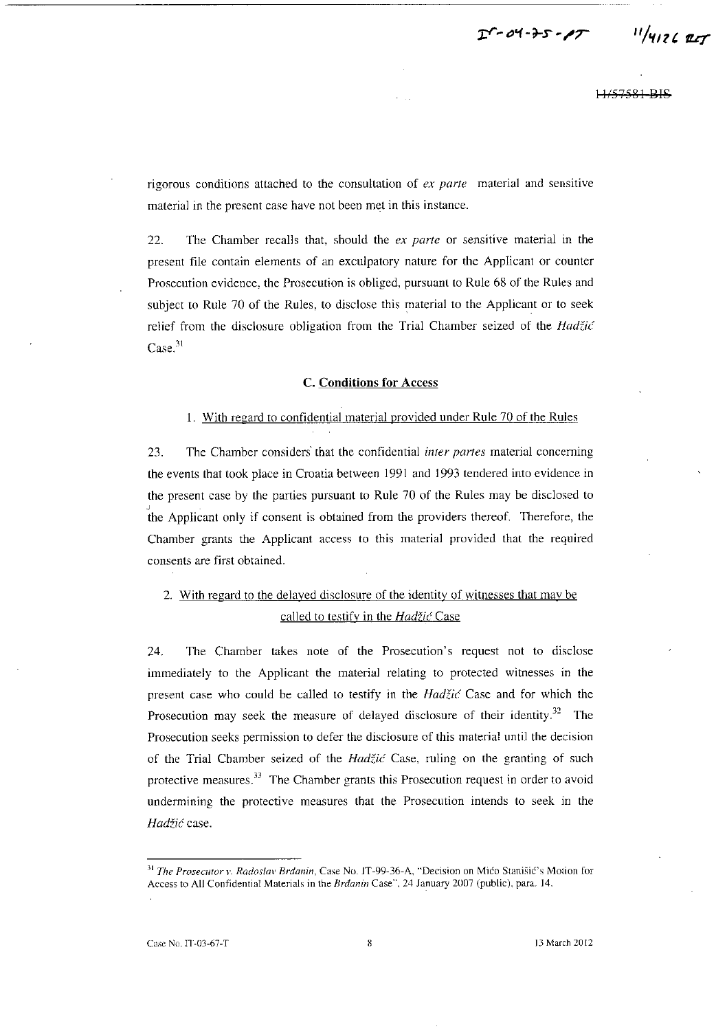$T - 04 - 25 - 17$  11/4126 Ret

11/§7§81 **BIS** 

rigorous conditions attached to the consultation of *ex parte* material and sensitive material in the present case have not been met in this instance.

22. The Chamber recalls that, should the *ex parte* or sensitive material in the present file contain elements of an excuJpatory nature for the Applicant or counter Prosecution evidence, the Prosecution is obliged, pursuant to Rule 68 of the Rules and subject to Rule 70 of the Rules, to disclose this material to the Applicant or to seek relief from the disclosure obligation from the Trial Chamber seized of the Hadžić  $Case.<sup>31</sup>$ 

## C. Conditions for Access

## l. With regard to confidential material provided under Rule 70 of the Rules

23. The Chamber considers that the confidential *inter partes* material concerning the events that took place in Croatia between 1991 and 1993 tendered into evidence in the present case by the parties pursuant to Rule 70 of the Rules may be disclosed to the Applicant only if consent is obtained from the providers thereof. Therefore, the Chamber grants the Applicant access to this material provided that the required consents are first obtained.

# 2. With regard to the delayed disclosure of the identity of witnesses that may be called to testify in the Hadžić Case

24. The Chamber takes note of the Prosecution's request not to disclose immediately to the Applicant the material relating to protected witnesses in the present case who could be called to testify in the Hadžić Case and for which the Prosecution may seek the measure of delayed disclosure of their identity.<sup>32</sup> The Prosecution seeks permission to defer the disclosure of this material until the decision of the Trial Chamber seized of the Hadžić Case, ruling on the granting of such protective measures.<sup>33</sup> The Chamber grants this Prosecution request in order to avoid undermining the protective measures that the Prosecution intends to seek in the Hadžić case.

<sup>&</sup>lt;sup>31</sup> The Prosecutor v. *Radoslav Brđanin*, Case No. IT-99-36-A, "Decision on Mićo Stanišić's Motion for Access to All Confidential Materials in the Brđanin Case", 24 January 2007 (public), para. 14.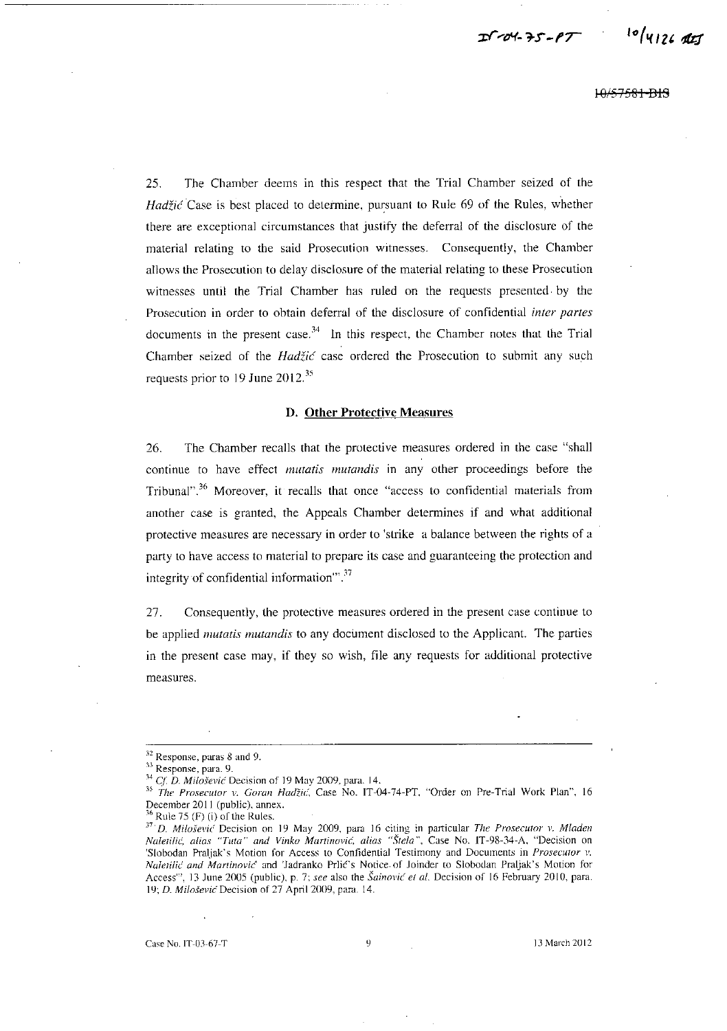#### 1<del>0/57581 BIS</del>

25. The Chamber deems in this respect that the Trial Chamber seized of the Hadžić Case is best placed to determine, pursuant to Rule 69 of the Rules, whether there are exceptional circumstances that justify the deferral of the disclosure of the material relating to the said Prosecution witnesses. Consequently, the Chamber allows the Prosecution to delay disclosure of the material relating to these Prosecution witnesses until the Trial Chamber has ruled on the requests presented. by the Prosecution in order to ohtain deferral of the disclosure of confidential infer partes documents in the present case.<sup>34</sup> In this respect, the Chamber notes that the Trial Chamber seized of the Hadžić case ordered the Prosecution to submit any such requests prior to 19 June 2012.<sup>35</sup>

#### D. Other Protective Measures

26. The Chamber recalls that the protective measures ordered in the case "shall continue to have effect *mutatis mutandis* in any other proceedings before the Tribunal".<sup>36</sup> Moreover, it recalls that once "access to confidential materials from another case is granted, the Appeals Chamber detennines if and what additional protective measures are necessary in order to 'strike a balance between the rights of a party to have access to material to prepare its case and guaranteeing the protection and integrity of confidential information".<sup>37</sup>

27. Consequently, the protective measures ordered in the present case continue to be applied *mutatis mutandis* to any document disclosed to the Applicant. The parties in the present case may, if they so wish, file any requests for additional protective measures.

 $32$  Response, paras 8 and 9.

<sup>33</sup> Response, para. 9.

<sup>&</sup>lt;sup>34</sup> *Cf. D. Milošević* Decision of 19 May 2009, para. 14.

<sup>&</sup>lt;sup>35</sup> The Prosecutor v. Goran Hadžić, Case No. IT-04-74-PT, "Order on Pre-Trial Work Plan", 16 December 2011 (public). annex.

 $36$  Rule 75 (F) (i) of the Rules.

*<sup>37.0.</sup> Miloševi(* Decision on 19 May 2009, para 16 citing in particular *The Prosecutor* v. *Mladen*  Naletilić, alias "Tuta" and Vinko Martinović, alias "Štela", Case No. IT-98-34-A, "Decision on 'Slobodan Praljak's Motion for Access to Confidential Testimony and Documents in *Prosecutor v.*  Naletilić *and* Martinović and 'Jadranko Prlić' s Notice. of Joinder to Slobodan Praljak' s Motion for Access"', 13 June 2005 (public). p. 7; *see* also the Šainović el *al.* Decision of 16 February 2010, para. 19; D. Milošević Decision of 27 April 2009, para. 14.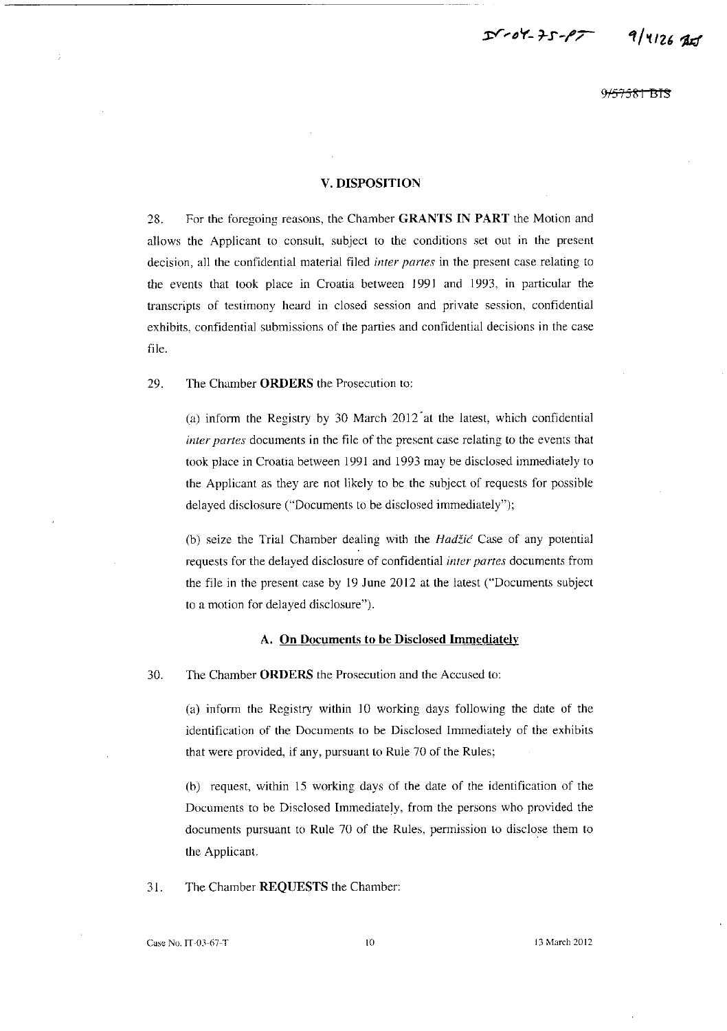$25 - 04 - 75 - 19 = 9/4126$ 

9<del>/47481 RTS</del>

### V. DISPOSITION

28. For the foregoing reasons. the Chamber GRANTS IN PART the Motion and allows the Applicant to consult. subject to the conditions set out in the present decision, all the confidential material filed *inter partes* in the present case relating to the events that took place in Croatia between 1991 and 1993, in particular the transcripts of testimony heard in closed session and private session, confidential exhibits, confidential submissions of the parties and confidential decisions in the case file.

29. The Chamber **ORDERS** the Prosecution to:

(a) inform the Registry by 30 March  $2012$  at the latest, which confidential *inter partes* documents in the file of the present case relating to the events that took place in Croatia between 1991 and 1993 may be disclosed immediately to the Applicant as they are not likely to be the subject of requests for possible delayed disclosure ("Documents to be disclosed immediately");

(b) seize the Trial Chamber dealing with the  $Hadžic'$  Case of any potential requests for the delayed disclosure of confidential *inter partes* documents from the file in the present case by 19 June 2012 at the latest ("Documents subject to a motion for delayed disclosure").

#### A. On Documents to he Disclosed Immediately

30. The Chamber ORDERS the Prosecution and the Accused to:

(a) inform the Registry within 10 working days following the date of the identification of the Documents to be Disclosed Immediately of the exhibits that were provided, if any, pursuant to Rule 70 of the Rules;

(b) request, within 15 working days of the date of the identification of the Documents to be Disclosed Immediately, from the persons who provided the documents pursuant to Rule 70 of the Rules. permission to disclose them to the Applicant.

31. The Chamber REQUESTS the Chamber:

Case No. IT-03-67-T 10 10 13 March 2012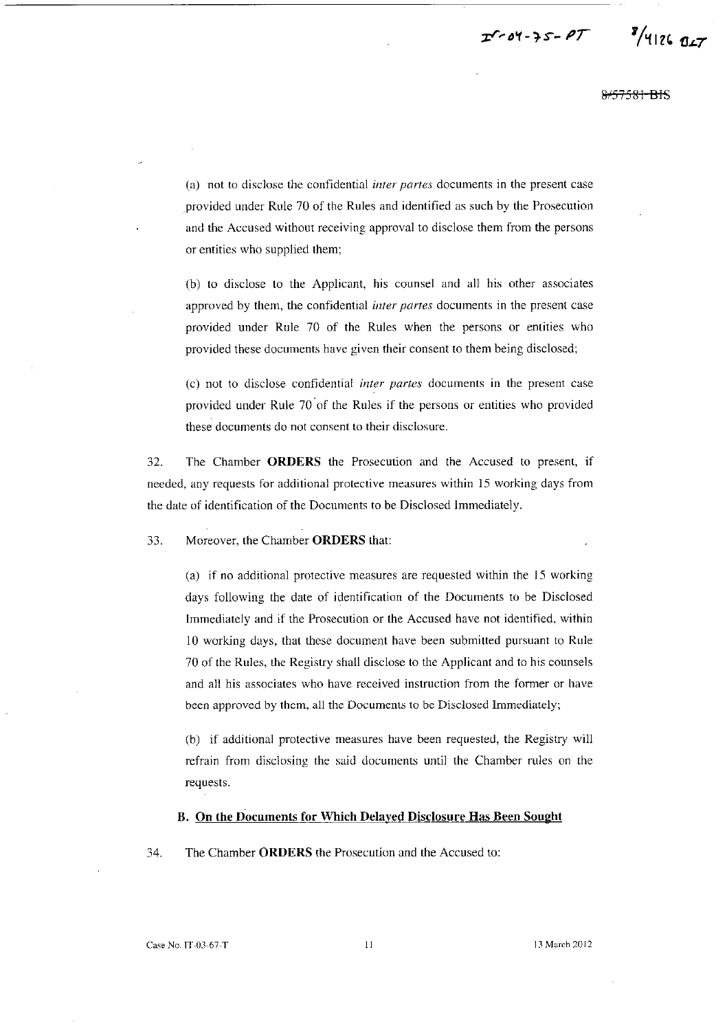$I^{r}04-75-PT$   $\frac{8}{126}917$ 

<del>-7581 BIS</del>

**(a) not to disclose the confidential** *inter partes* **documents in the present case**  provided under Rule 70 of the Rules and identified as such by the Prosecution and the Accused without receiving approval to disclose them from the persons or entities who supplied them;

(b) to disclose to the Applicant, his counsel and all his other associates approved by them, the confidential *inter partes* documents in the present case provided under Rule 70 of the Rules when the persons or entities who **provided these documents have given their consent to them being disclosed;** 

**(c) not to disclose confidential** *inter partes* **documents in the present case**  provided under Rule 70' of the Rules if the persons or entities who provided **these documents do not consent to their disclosure.** 

32. The Chamber **ORDERS** the Prosecution and the Accused to present, if **needed, any requests for additional protective measures within 15 working days from**  the date of identification of the Documents to be Disclosed Immediately.

33. Moreover, the Chamber **ORDERS** that:

(a) if no additional protective measures are requested within the 15 working days following the date of identification of the Documents to be Disclosed Immediately and if the Prosecution or the Accused have not identified, within 10 working days, that these document have been submitted pursuant to Rule 70 of the Rules, the Registry shall disclose to the Applicant and to his counsels **and all his associates who have received instruction from the former or have been approved by them, all the Documents to be Disclosed Immediately;** 

(b) if additional protective measures have been requested, the Registry will refrain from disclosing the said documents until the Chamber rules on the **requests.** 

#### **B.** On the Documents for Which Delayed Disclosure Has Been Sought

34. The Chamber **ORDERS** the Prosecution and the Accused to: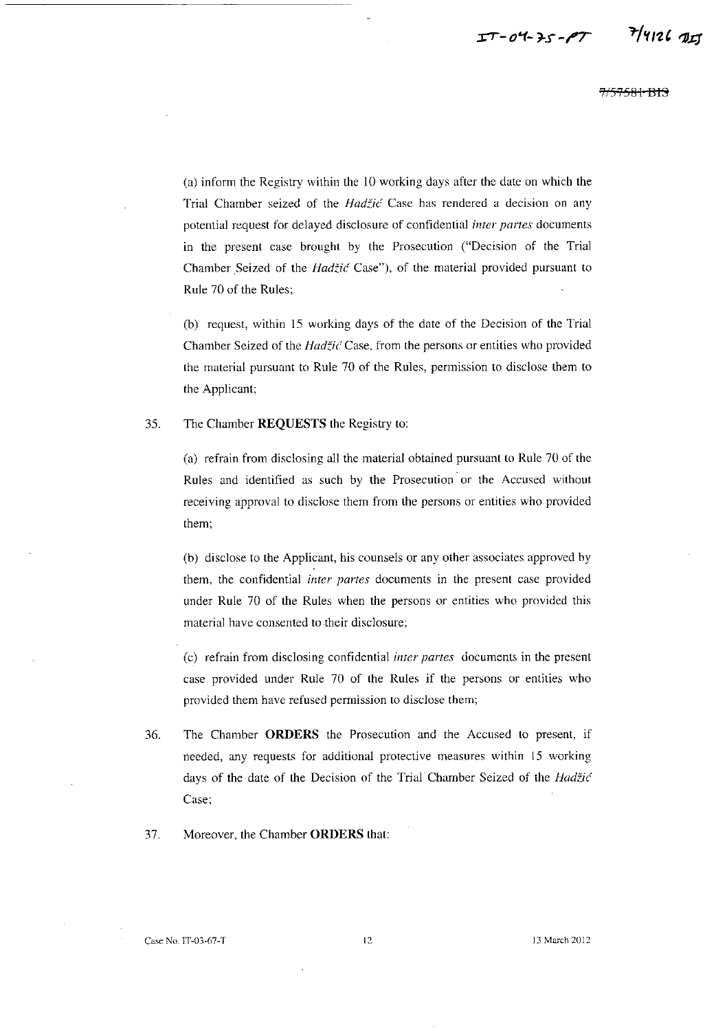<del>'581-BIS</del>

(a) inform the Registry within the 10 working days after the date on which the Trial Chamber seized of the Hadžić Case has rendered a decision on any potential request for delayed disclosure of confidential *inter partes* documents in the present case brought by the Prosecution ("Decision of the Trial Chamber Seized of the Hadžić Case"), of the material provided pursuant to Rule 70 of the Rules;

(b) request, within 15 working days of the date of the Decision of the Trial Chamber Seized of the Hadžić Case, from the persons or entities who provided the material pursuant to Rule 70 of the Rules, permission 10 disclose them to the Applicant;

35, The Chamber REQUESTS the Registry to:

(a) refrain from disclosing all the material obtained pursuant to Rule 70 of the Rules and identified as such by the Prosecution or the Accused without receiving approval to disclose them from **the** persons or entities who provided them;

(b) disclose to the Applicant, his eounsels or any other associates approved by them, the confidential *inter partes* documents in the present case provided under Rule 70 of the Rules when the persons or entities who provided this material have consented to their disclosure;

(e) refrain from disclosing confidential *inter partes* documents in the present case provided under Rule 70 of the Rules if the persons or entities who provided them have refused permission to disclose them;

- 36, The Chamber ORDERS the Prosecution and the Accused to present, if needed, any requests for additional protective measures within 15 working days of the date of the Decision of the Trial Chamber Seized of the Hadžić Case;
- 37, Moreover, the Chamber ORDERS that: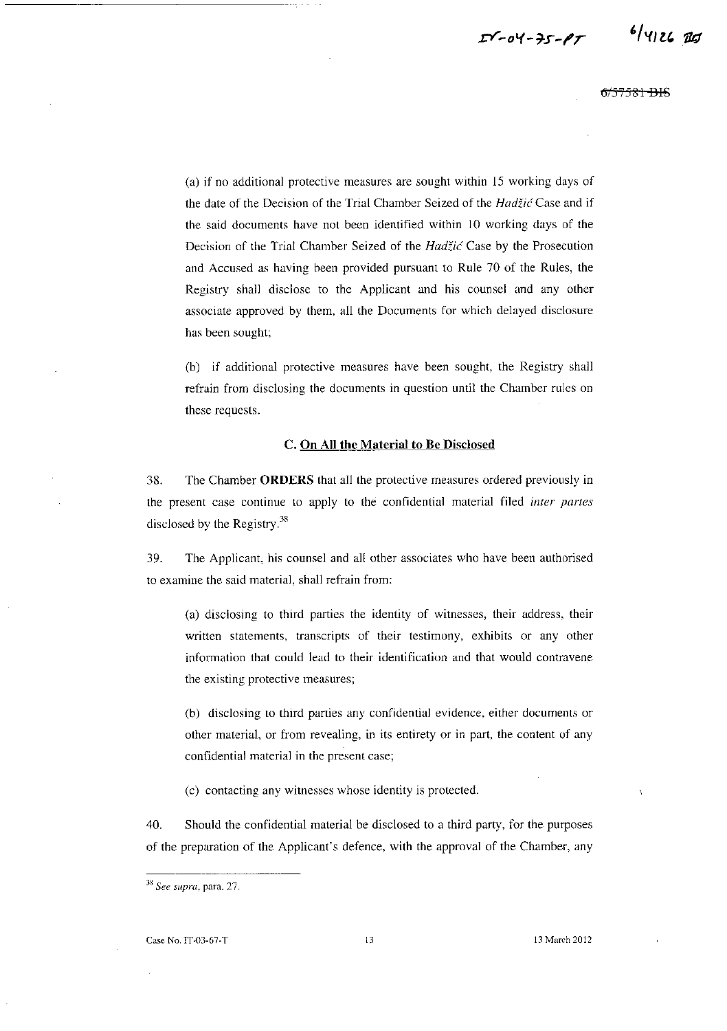$IY-0Y-75-PT$  6/4126 TO

<del>6/57581 BH</del>S

(a) if no additional protective measures are sought within 15 working days of the date of the Decision of the Trial Chamber Seized of the *Hadžić* Case and if the said documents have not been identified within 10 working days of the Decision of the Trial Chamber Seized of the *Hadžić* Case by the Prosecution and Accused as having been provided pursuant to Rule 70 of the Rules, the Registry shall disclose to the Applicant and his counsel and any other associate approved by them, all the Documents for which delayed disclosure has been sought;

(b) if additional protective measures have been sought, the Registry shall refrain from disclosing the documents in question until the Chamber rules on these requests.

## C. On All the Material to Be Disclosed

38. The Chamber ORDERS that all the protective measures ordered previously in the present case continue to apply to the confidential material filed *inter partes*  disclosed by the Registry.<sup>38</sup>

39. The Applicant. his counsel and all other associates who have been authorised to examine the said material, shall refrain from:

(a) disclosing to third parties the identity of witnesses, their address, their written statements, transcripts of their testimony, exhibits or any other information that could lead to their identification and that would contravene the existing protective measures;

(b) disclosing to third parties any confidential evidence, either documents or other material, or from revealing, in its entirety or in part, the content of any confidential material in the present case;

(c) contacting any witnesses whose identity is protected.

40. Should the confidential material be disclosed to a third party, for the purposes of the preparation of the Applicant's defence, with the approval of the Chamber, any

Case No. IT-03-67-T 13 March 2012

<sup>3~</sup> *See supra,* para. 27.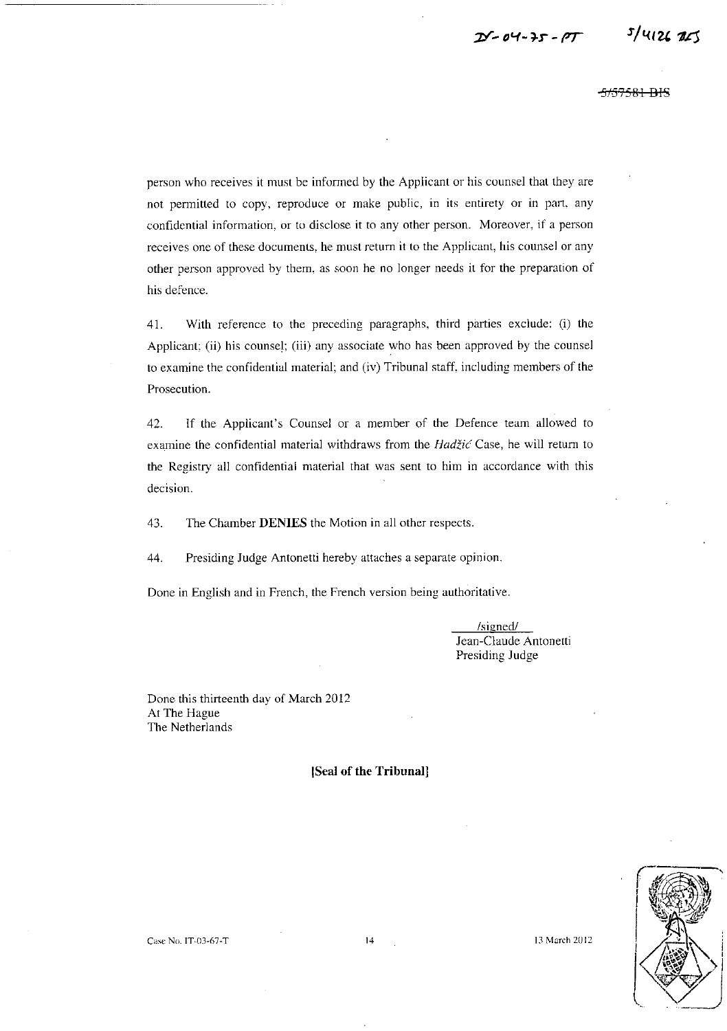#### <del>157581 BIS</del>

person who receives it must be informed by the Applicant or his counsel that they are **not permitted to copy, reproduce or make public, in its entirety or in part, any confidential information, or to disclose it to** any other **person. Moreover, if a person receives one of these documents, he must return it to the Applicant, his counsel or any**  other person approved by them, as soon he no longer needs it for the preparation of his defence,

41. With reference to the preceding paragraphs, third parties exclude: (i) the Applicant; (ii) his counsel; (iii) any associate who has been approved by the counsel to examine the confidential material; and (iv) Tribunal staff, including members of the **Prosecution.** 

42, If the Applicant's Counsel or a member of the Defence team allowed to examine the confidential material withdraws from the Hadžić Case, he will return to **the** Registry all **confidential material that was sent to him in accordance with this decision.** 

43, The Chamber **DENlES** the Motion in all other respects,

44, Presiding Judge Antonetti hereby attaches a separate opinion,

**Done in English and in French, the French version being authoritative.** 

/signed/ Jean-Claude Antonetti Presiding Judge

Done this thirteenth day of March 2012 At The Hague The Netherlands

ISeal **of the Tribunal]** 



Case **No. IT-03-67-T** 14 **13 March 2(J 12**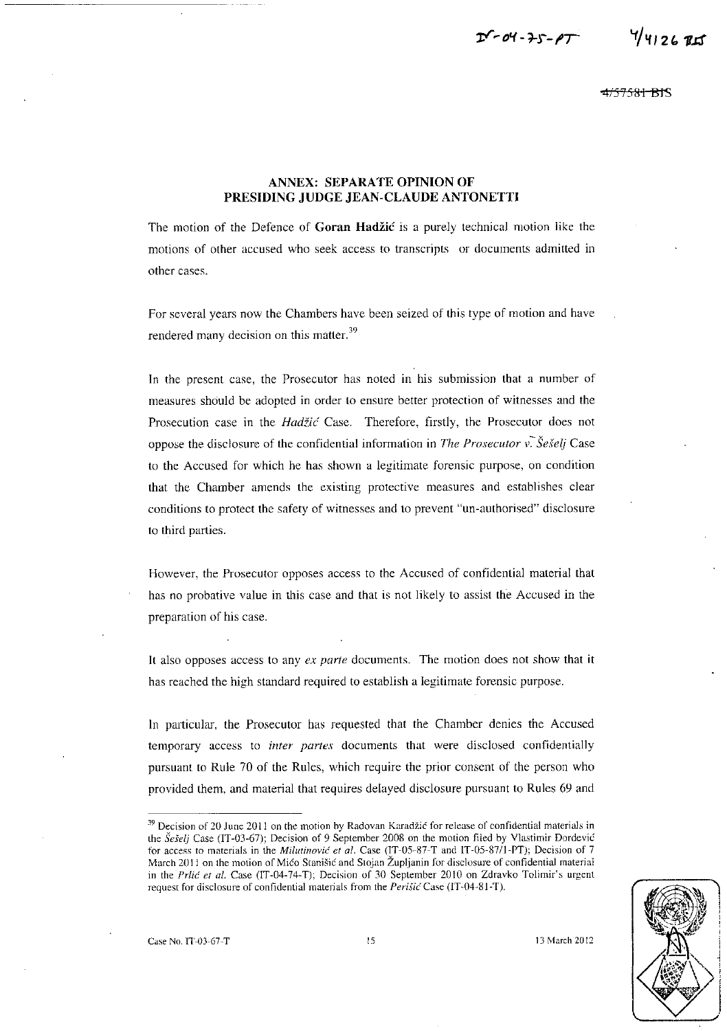$D - 04 - 75 - 77$ 

<del>4/57581 BI</del>S

 $4/4126$  RIS

# ANNEX: SEPARATE OPINION OF PRESIDING .JUDGE JEAN-CLAUDE ANTONETTI

The motion of the Defence of Goran Hadžić is a purely technical motion like the motions of other accused who seek access to transcripts or documents admitted in other cases.

For several years now the Chambers have been seized of this type of motion and have rendered many decision on this matter. $^{39}$ 

In the present case, the Prosecutor has noted in his submission that a number of measures should be adopted in order to ensure better protection of witnesses and the Prosecution case in the Hadžić Case. Therefore, firstly, the Prosecutor does not oppose the disclosure of the confidential information in *The Prosecutor v. Sešelj* Case to the Accused for which he has shown a legitimate forensic purpose, on condition that the Chamber amends the existing protective measures and establishes clear conditions to protect the safety of witnesses and to prevent "un-authorised" disclosure to third parties.

However, the Prosecutor opposes access to the Accused of confidential material that has no probative value in this case and that is not likely to assist the Accused in the preparation of his case.

It also opposes access to any  $ex$  parte documents. The motion does not show that it has reached the high standard required to establish a legitimate forensic purpose.

ln particular, the Prosecutor has requested that the Chamber denies the Accused temporary access to *inter partes* documents that were disclosed confidentially pursuant to Rule 70 of the Rules, which require the prior consent of the person who provided them, and material that requires delayed disclosure pursuant to Rules 69 and

Case No. IT-03-67-T 15 15 13 March 2012

<sup>&</sup>lt;sup>39</sup> Decision of 20 June 2011 on the motion by Radovan Karadžić for release of confidential materials in the Šešelj Case (IT-03-67); Decision of 9 September 2008 on the motion filed by Vlastimir Đordević for access to materials in the *Milutinović et al.* Case (IT-05-87-T and IT-05-87/1-PT); Decision of 7 March 2011 on the motion of Mićo Stanišić and Stojan Župljanin for disclosure of confidential material in the Prlić et al. Case (IT-04-74-T); Decision of 30 September 2010 on Zdravko Tolimir's urgent request for disclosure of confidential materials from the  $Periši\acute{c}$  Case (IT-04-81-T).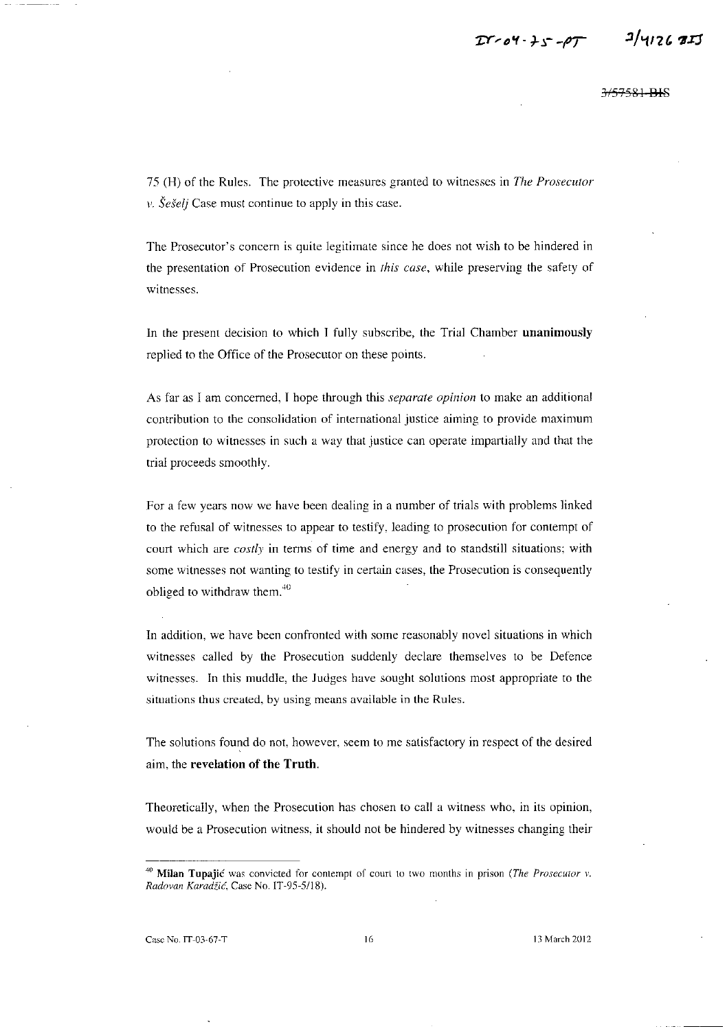3/57581-BIS

75 CH) of the Rules. The protective measures granted to witnesses in *The Prosecutor v. Še§elj* Case must continue to apply in this case.

The Prosecutor's concern is quite legitimate since he does not wish to be hindered in the presentation of Prosecution evidence in *this case,* while preserving the safety of witnesses.

ln the present decision to which I fully subscribe, the Trial Chamber unanimously replied to the Office of the Prosecutor on these points.

As far as I am concerned, I hope through this *separate opinion* to make an additional contribution to the consolidation of international justice aiming to provide maximum protection to witnesses in such a way that justice can operate impartially and that the trial proceeds smoothly.

For a few years now we have been dealing in a number of trials with problems linked to the refusal of witnesses to appear to testify, leading to prosecution for contempt of court which are *costly* in terms of time and energy and to standstill situations; with some witnesses not wanting to testify in certain cases, the Prosecution is consequently obliged to withdraw them. $40$ 

ln addition, we have been confronted with some reasonably novel situations in which witnesses called by the Prosecution suddenly declare themselves to be Defence witnesses. In this muddle, the Judges have sought solutions most appropriate to the situations thus created, by using means available in the Rules.

The solutions found do not, however, seem to me satisfactory in respect of the desired aim. the revelation of the Truth.

Theoretical1y, when the Prosecution has chosen to call a witness who, in its opinion, would be a Prosecution witness, it should not be hindered by witnesses changing their

Case No. IT-03-67-T 16 16 16 17 13 March 2012

<sup>40</sup> Milan Tupajić was convicted for contempt of court to two months in prison *(The Prosecutor v. Radovan* Karadžić, Case No. IT-95-51l8).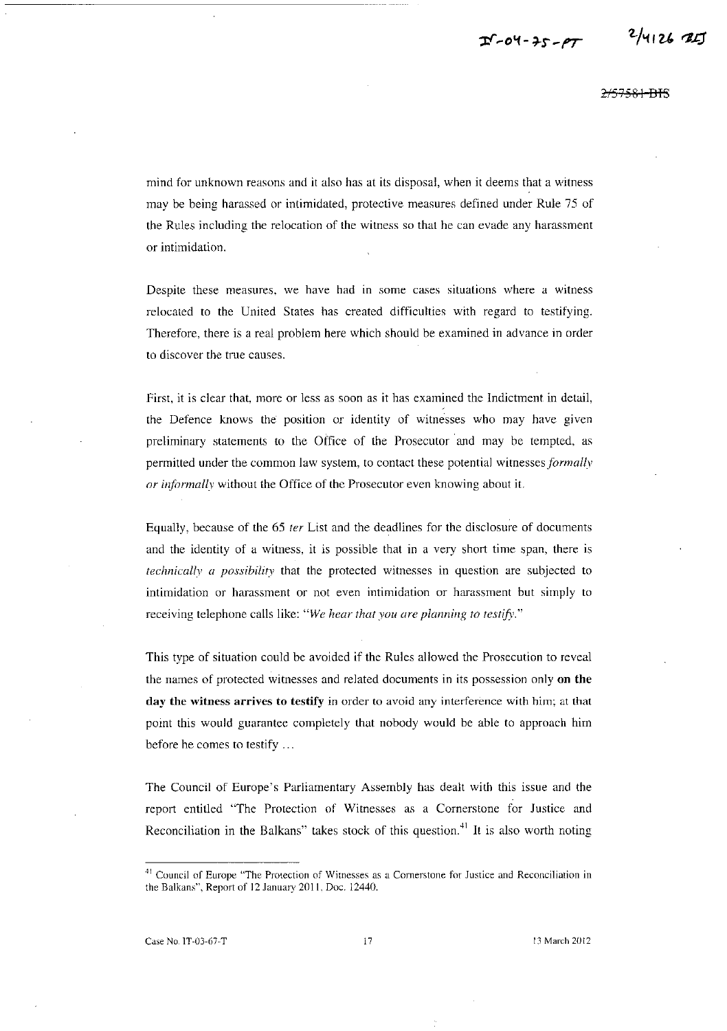<del>2/57581-BIS</del>

 $2/412671$ 

mind for unknown reasons and it also has at its disposal, when it deems that a witness muy be being harassed or intimidated, protective measures defined under Rule 75 of the Rules including the relocation of the witness so that he can evade any harassment or intimidation.

Despite these measures, we have had in some cases situations where a witness relocated to the United States has created difficulties with regard to testifying. Therefore, there is a real problem here which should be examined in advance in order to discover the true causes.

First, it is clear that, more or less as soon as it has examined the Indictment in detail, the Defence knows the position or identity of witnesses who may have given preliminary statements to the Office of the Prosecutor' and may be tempted, as permitted under the common law system, to contact these potential witnesses *formally or informaU\'* without the Office of the Prosecutor even knowing about it.

Equally, because of the 65 *ter* List and the deadlines for the disclosure of documents and the identity of a witness, it is possible that in a very short time span, there is *technically a possibility* that the protected witnesses in question are subjected to intimidation or harassment or not even intimidation or harassment but simply to receiving telephone calls like: *"We hear that you are planning to testify."* 

This type of situation could be avoided if the Rules allowed the Prosecution to reveal the names of protected witnesses and related documents in its possession only on the day the witness arrives to testify in order to avoid any interference with him; at that point this would guarantee completely that nobody would be able to approach him before he comes to testify ...

The Council of Europe's Parliamentary Assembly has dealt with this issue and the report entitled "The Protection of Witnesses as a Cornerstone for Justice and Reconciliation in the Balkans" takes stock of this question.<sup>41</sup> It is also worth noting

<sup>&</sup>lt;sup>41</sup> Council of Europe "The Protection of Witnesses as a Cornerstone for Justice and Reconciliation in the Balkans", Report of 12 January 2011, Doc. 12440.